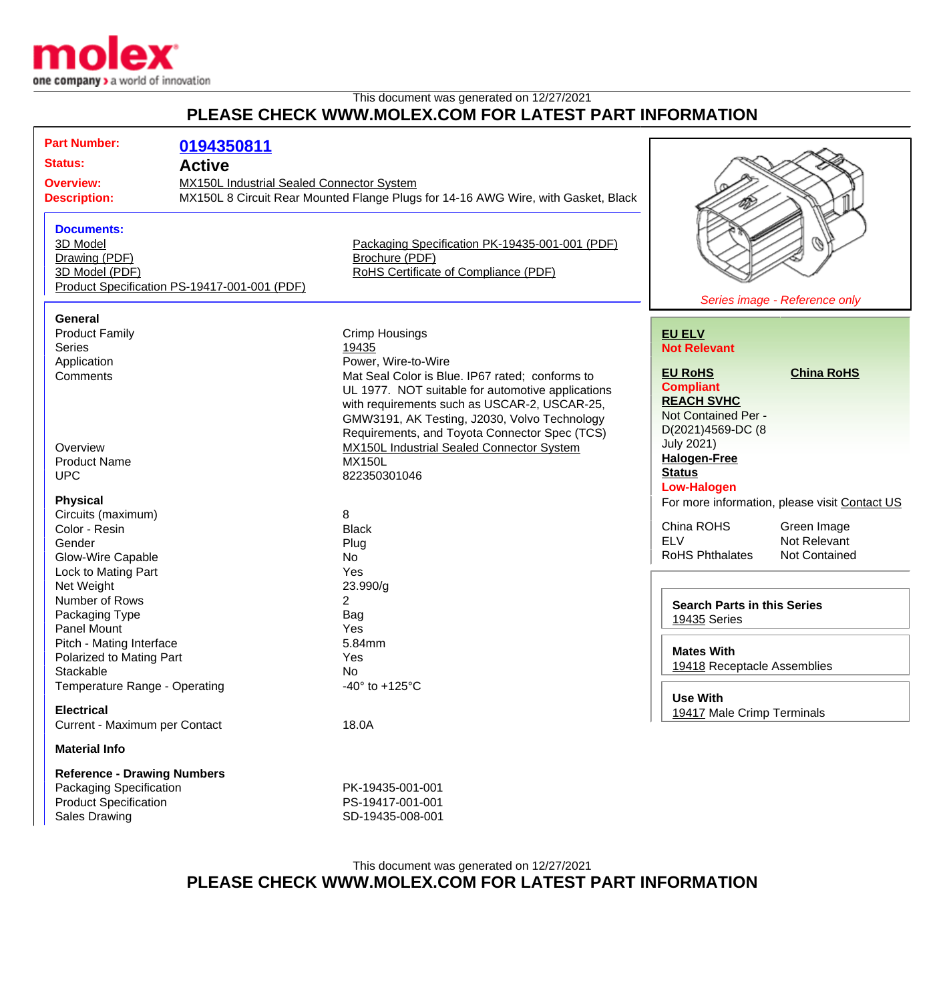

## This document was generated on 12/27/2021 **PLEASE CHECK WWW.MOLEX.COM FOR LATEST PART INFORMATION**

| <b>Part Number:</b><br><b>Status:</b><br><b>Overview:</b><br><b>Description:</b>                                      | 0194350811<br><b>Active</b><br>MX150L Industrial Sealed Connector System | MX150L 8 Circuit Rear Mounted Flange Plugs for 14-16 AWG Wire, with Gasket, Black                                                                                                                                                                                                                                                                          |                                                                                                                                                                  |                                               |
|-----------------------------------------------------------------------------------------------------------------------|--------------------------------------------------------------------------|------------------------------------------------------------------------------------------------------------------------------------------------------------------------------------------------------------------------------------------------------------------------------------------------------------------------------------------------------------|------------------------------------------------------------------------------------------------------------------------------------------------------------------|-----------------------------------------------|
| <b>Documents:</b><br>3D Model<br>Drawing (PDF)<br>3D Model (PDF)                                                      | Product Specification PS-19417-001-001 (PDF)                             | Packaging Specification PK-19435-001-001 (PDF)<br>Brochure (PDF)<br>RoHS Certificate of Compliance (PDF)                                                                                                                                                                                                                                                   |                                                                                                                                                                  | O<br>Series image - Reference only            |
| General<br><b>Product Family</b><br><b>Series</b>                                                                     |                                                                          | <b>Crimp Housings</b><br>19435                                                                                                                                                                                                                                                                                                                             | <b>EU ELV</b><br><b>Not Relevant</b>                                                                                                                             |                                               |
| Application<br>Comments<br>Overview<br><b>Product Name</b><br><b>UPC</b>                                              |                                                                          | Power, Wire-to-Wire<br>Mat Seal Color is Blue. IP67 rated; conforms to<br>UL 1977. NOT suitable for automotive applications<br>with requirements such as USCAR-2, USCAR-25,<br>GMW3191, AK Testing, J2030, Volvo Technology<br>Requirements, and Toyota Connector Spec (TCS)<br>MX150L Industrial Sealed Connector System<br><b>MX150L</b><br>822350301046 | <b>EU RoHS</b><br><b>Compliant</b><br><b>REACH SVHC</b><br>Not Contained Per -<br>D(2021)4569-DC (8<br><b>July 2021)</b><br><b>Halogen-Free</b><br><b>Status</b> | <b>China RoHS</b>                             |
| <b>Physical</b><br>Circuits (maximum)                                                                                 |                                                                          | 8                                                                                                                                                                                                                                                                                                                                                          | <b>Low-Halogen</b>                                                                                                                                               | For more information, please visit Contact US |
| Color - Resin<br>Gender<br>Glow-Wire Capable<br>Lock to Mating Part                                                   |                                                                          | <b>Black</b><br>Plug<br>No<br>Yes                                                                                                                                                                                                                                                                                                                          | China ROHS<br><b>ELV</b><br><b>RoHS Phthalates</b>                                                                                                               | Green Image<br>Not Relevant<br>Not Contained  |
| Net Weight<br>Number of Rows<br>Packaging Type<br><b>Panel Mount</b>                                                  |                                                                          | 23.990/g<br>2<br>Bag<br>Yes                                                                                                                                                                                                                                                                                                                                | <b>Search Parts in this Series</b><br>19435 Series                                                                                                               |                                               |
| Pitch - Mating Interface<br>Polarized to Mating Part<br>Stackable                                                     |                                                                          | 5.84mm<br>Yes<br>No                                                                                                                                                                                                                                                                                                                                        | <b>Mates With</b><br>19418 Receptacle Assemblies                                                                                                                 |                                               |
| Temperature Range - Operating<br><b>Electrical</b><br>Current - Maximum per Contact                                   |                                                                          | -40 $\degree$ to +125 $\degree$ C<br>18.0A                                                                                                                                                                                                                                                                                                                 | <b>Use With</b><br>19417 Male Crimp Terminals                                                                                                                    |                                               |
| <b>Material Info</b>                                                                                                  |                                                                          |                                                                                                                                                                                                                                                                                                                                                            |                                                                                                                                                                  |                                               |
| <b>Reference - Drawing Numbers</b><br>Packaging Specification<br><b>Product Specification</b><br><b>Sales Drawing</b> |                                                                          | PK-19435-001-001<br>PS-19417-001-001<br>SD-19435-008-001                                                                                                                                                                                                                                                                                                   |                                                                                                                                                                  |                                               |

## This document was generated on 12/27/2021 **PLEASE CHECK WWW.MOLEX.COM FOR LATEST PART INFORMATION**